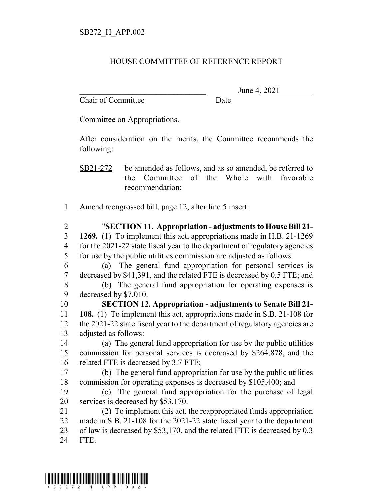## HOUSE COMMITTEE OF REFERENCE REPORT

Chair of Committee Date

June 4, 2021

Committee on Appropriations.

After consideration on the merits, the Committee recommends the following:

SB21-272 be amended as follows, and as so amended, be referred to the Committee of the Whole with favorable recommendation:

Amend reengrossed bill, page 12, after line 5 insert:

 "**SECTION 11. Appropriation - adjustments to House Bill 21- 1269.** (1) To implement this act, appropriations made in H.B. 21-1269 for the 2021-22 state fiscal year to the department of regulatory agencies for use by the public utilities commission are adjusted as follows:

 (a) The general fund appropriation for personal services is decreased by \$41,391, and the related FTE is decreased by 0.5 FTE; and

 (b) The general fund appropriation for operating expenses is decreased by \$7,010.

 **SECTION 12. Appropriation - adjustments to Senate Bill 21- 108.** (1) To implement this act, appropriations made in S.B. 21-108 for the 2021-22 state fiscal year to the department of regulatory agencies are adjusted as follows:

 (a) The general fund appropriation for use by the public utilities commission for personal services is decreased by \$264,878, and the 16 related FTE is decreased by 3.7 FTE;

 (b) The general fund appropriation for use by the public utilities commission for operating expenses is decreased by \$105,400; and

 (c) The general fund appropriation for the purchase of legal services is decreased by \$53,170.

 (2) To implement this act, the reappropriated funds appropriation made in S.B. 21-108 for the 2021-22 state fiscal year to the department of law is decreased by \$53,170, and the related FTE is decreased by 0.3

FTE.